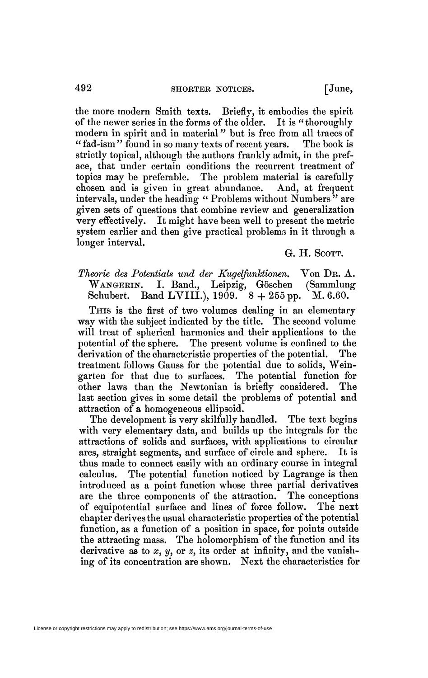the more modern Smith texts. Briefly, it embodies the spirit of the newer series in the forms of the older. It is "thoroughly of the newer series in the forms of the older. modern in spirit and in material<sup>"</sup> but is free from all traces of "fad-ism" found in so many texts of recent years. The book is " fad-ism" found in so many texts of recent years. strictly topical, although the authors frankly admit, in the preface, that under certain conditions the recurrent treatment of topics may be preferable. The problem material is carefully chosen and is given in great abundance. And, at frequent intervals, under the heading " Problems without Numbers<sup>"</sup> are given sets of questions that combine review and generalization very effectively. It might have been well to present the metric system earlier and then give practical problems in it through a longer interval.

G. H. SCOTT.

*Theorie des Potentials und der Kugelfunktionen.* Von DR. A. WANGERIN. I. Band., Leipzig, Göschen Schubert. Band LVIII.),  $1909.$   $8 + 255$  pp. M. 6.60.

THIS is the first of two volumes dealing in an elementary way with the subject indicated by the title. The second volume will treat of spherical harmonics and their applications to the potential of the sphere. The present volume is confined to the derivation of the characteristic properties of the potential. The treatment follows Gauss for the potential due to solids, Weingarten for that due to surfaces. The potential function for other laws than the Newtonian is briefly considered. The last section gives in some detail the problems of potential and attraction of a homogeneous ellipsoid.

The development is very skilfully handled. The text begins with very elementary data, and builds up the integrals for the attractions of solids and surfaces, with applications to circular arcs, straight segments, and surface of circle and sphere. It is thus made to connect easily with an ordinary course in integral calculus. The potential function noticed by Lagrange is then introduced as a point function whose three partial derivatives are the three components of the attraction. The conceptions of equipotential surface and lines of force follow. The next chapter derives the usual characteristic properties of the potential function, as a function of a position in space, for points outside the attracting mass. The holomorphism of the function and its derivative as to  $x$ ,  $y$ , or  $z$ , its order at infinity, and the vanishing of its concentration are shown. Next the characteristics for